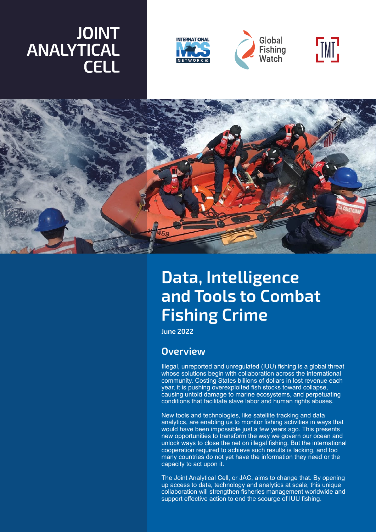## **JOINT ANALYTICAL CELL**









# **Data, Intelligence and Tools to Combat Fishing Crime**

**June 2022**

#### **Overview**

Illegal, unreported and unregulated (IUU) fishing is a global threat whose solutions begin with collaboration across the international community. Costing States billions of dollars in lost revenue each year, it is pushing overexploited fish stocks toward collapse, causing untold damage to marine ecosystems, and perpetuating conditions that facilitate slave labor and human rights abuses.

New tools and technologies, like satellite tracking and data analytics, are enabling us to monitor fishing activities in ways that would have been impossible just a few years ago. This presents new opportunities to transform the way we govern our ocean and unlock ways to close the net on illegal fishing. But the international cooperation required to achieve such results is lacking, and too many countries do not yet have the information they need or the capacity to act upon it.

The Joint Analytical Cell, or JAC, aims to change that. By opening up access to data, technology and analytics at scale, this unique collaboration will strengthen fisheries management worldwide and support effective action to end the scourge of IUU fishing.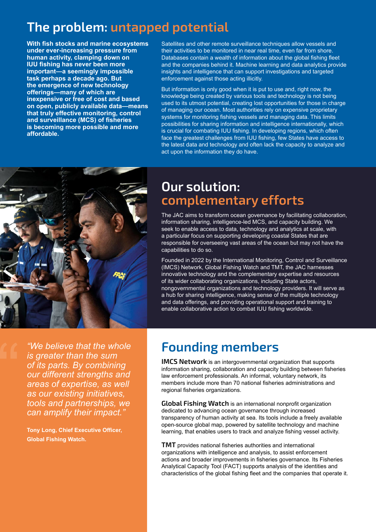## **The problem: untapped potential**

**With fish stocks and marine ecosystems under ever-increasing pressure from human activity, clamping down on IUU fishing has never been more important—a seemingly impossible task perhaps a decade ago. But the emergence of new technology offerings—many of which are inexpensive or free of cost and based on open, publicly available data—means that truly effective monitoring, control and surveillance (MCS) of fisheries is becoming more possible and more affordable.** 

Satellites and other remote surveillance techniques allow vessels and their activities to be monitored in near real time, even far from shore. Databases contain a wealth of information about the global fishing fleet and the companies behind it. Machine learning and data analytics provide insights and intelligence that can support investigations and targeted enforcement against those acting illicitly.

But information is only good when it is put to use and, right now, the knowledge being created by various tools and technology is not being used to its utmost potential, creating lost opportunities for those in charge of managing our ocean. Most authorities rely on expensive proprietary systems for monitoring fishing vessels and managing data. This limits possibilities for sharing information and intelligence internationally, which is crucial for combating IUU fishing. In developing regions, which often face the greatest challenges from IUU fishing, few States have access to the latest data and technology and often lack the capacity to analyze and act upon the information they do have.



#### **Our solution: complementary efforts**

The JAC aims to transform ocean governance by facilitating collaboration, information sharing, intelligence-led MCS, and capacity building. We seek to enable access to data, technology and analytics at scale, with a particular focus on supporting developing coastal States that are responsible for overseeing vast areas of the ocean but may not have the capabilities to do so.

Founded in 2022 by the International Monitoring, Control and Surveillance (IMCS) Network, Global Fishing Watch and TMT, the JAC harnesses innovative technology and the complementary expertise and resources of its wider collaborating organizations, including State actors, nongovernmental organizations and technology providers. It will serve as a hub for sharing intelligence, making sense of the multiple technology and data offerings, and providing operational support and training to enable collaborative action to combat IUU fishing worldwide.

*"We believe that the whole is greater than the sum of its parts. By combining our different strengths and areas of expertise, as well as our existing initiatives, tools and partnerships, we can amplify their impact."*

**Tony Long, Chief Executive Officer, Global Fishing Watch.**

### **Founding members**

**IMCS Network** is an intergovernmental organization that supports information sharing, collaboration and capacity building between fisheries law enforcement professionals. An informal, voluntary network, its members include more than 70 national fisheries administrations and regional fisheries organizations.

**Global Fishing Watch** is an international nonprofit organization dedicated to advancing ocean governance through increased transparency of human activity at sea. Its tools include a freely available open-source global map, powered by satellite technology and machine learning, that enables users to track and analyze fishing vessel activity.

**TMT** provides national fisheries authorities and international organizations with intelligence and analysis, to assist enforcement actions and broader improvements in fisheries governance. Its Fisheries Analytical Capacity Tool (FACT) supports analysis of the identities and characteristics of the global fishing fleet and the companies that operate it.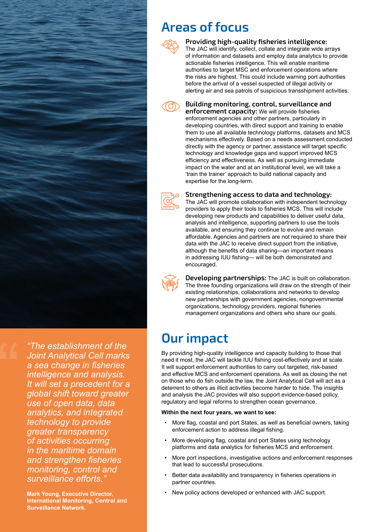

*"The establishment of the Joint Analytical Cell marks a sea change in fisheries intelligence and analysis. It will set a precedent for a global shift toward greater use of open data, data analytics, and integrated technology to provide greater transparency of activities occurring in the maritime domain and strengthen fisheries monitoring, control and surveillance efforts."* 

**Mark Young, Executive Director, International Monitoring, Control and Surveillance Network.**

### **Areas of focus**



**Providing high-quality fisheries intelligence:**

The JAC will identify, collect, collate and integrate wide arrays of information and datasets and employ data analytics to provide actionable fisheries intelligence. This will enable maritime authorities to target MSC and enforcement operations where the risks are highest. This could include warning port authorities before the arrival of a vessel suspected of illegal activity or alerting air and sea patrols of suspicious transshipment activities.



**Building monitoring, control, surveillance and** 

**enforcement capacity:** We will provide fisheries enforcement agencies and other partners, particularly in developing countries, with direct support and training to enable them to use all available technology platforms, datasets and MCS mechanisms effectively. Based on a needs assessment conducted directly with the agency or partner, assistance will target specific technology and knowledge gaps and support improved MCS efficiency and effectiveness. As well as pursuing immediate impact on the water and at an institutional level, we will take a 'train the trainer' approach to build national capacity and expertise for the long-term.



#### **Strengthening access to data and technology:**

The JAC will promote collaboration with independent technology providers to apply their tools to fisheries MCS. This will include developing new products and capabilities to deliver useful data, analysis and intelligence, supporting partners to use the tools available, and ensuring they continue to evolve and remain affordable. Agencies and partners are not required to share their data with the JAC to receive direct support from the initiative, although the benefits of data sharing—an important means in addressing IUU fishing— will be both demonstrated and encouraged.



**Developing partnerships:** The JAC is built on collaboration. The three founding organizations will draw on the strength of their existing relationships, collaborations and networks to develop new partnerships with government agencies, nongovernmental organizations, technology providers, regional fisheries management organizations and others who share our goals.

### **Our impact**

By providing high-quality intelligence and capacity building to those that need it most, the JAC will tackle IUU fishing cost-effectively and at scale. It will support enforcement authorities to carry out targeted, risk-based and effective MCS and enforcement operations. As well as closing the net on those who do fish outside the law, the Joint Analytical Cell will act as a deterrent to others as illicit activities become harder to hide. The insights and analysis the JAC provides will also support evidence-based policy, regulatory and legal reforms to strengthen ocean governance.

#### **Within the next four years, we want to see:**

- More flag, coastal and port States, as well as beneficial owners, taking enforcement action to address illegal fishing.
- More developing flag, coastal and port States using technology platforms and data analytics for fisheries MCS and enforcement.
- More port inspections, investigative actions and enforcement responses that lead to successful prosecutions.
- Better data availability and transparency in fisheries operations in partner countries.
- New policy actions developed or enhanced with JAC support.